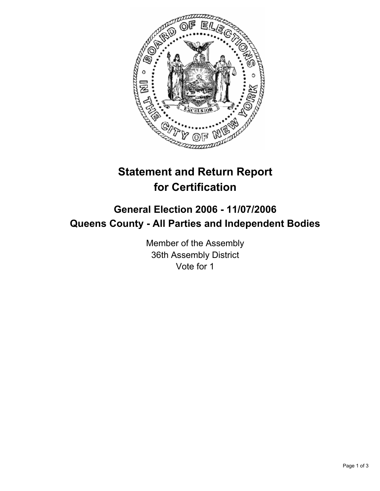

# **Statement and Return Report for Certification**

## **General Election 2006 - 11/07/2006 Queens County - All Parties and Independent Bodies**

Member of the Assembly 36th Assembly District Vote for 1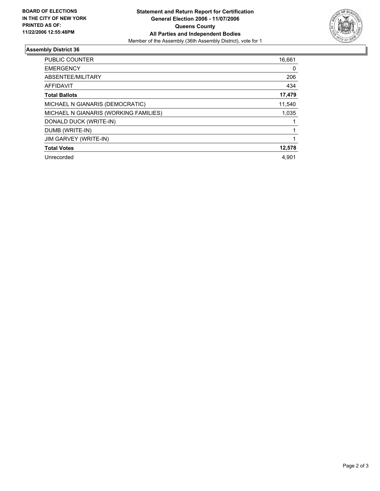

### **Assembly District 36**

| PUBLIC COUNTER                        | 16,661 |
|---------------------------------------|--------|
| <b>EMERGENCY</b>                      | 0      |
| ABSENTEE/MILITARY                     | 206    |
| <b>AFFIDAVIT</b>                      | 434    |
| <b>Total Ballots</b>                  | 17,479 |
| MICHAEL N GIANARIS (DEMOCRATIC)       | 11,540 |
| MICHAEL N GIANARIS (WORKING FAMILIES) | 1,035  |
| DONALD DUCK (WRITE-IN)                |        |
| DUMB (WRITE-IN)                       |        |
| <b>JIM GARVEY (WRITE-IN)</b>          |        |
| <b>Total Votes</b>                    | 12,578 |
| Unrecorded                            | 4.901  |